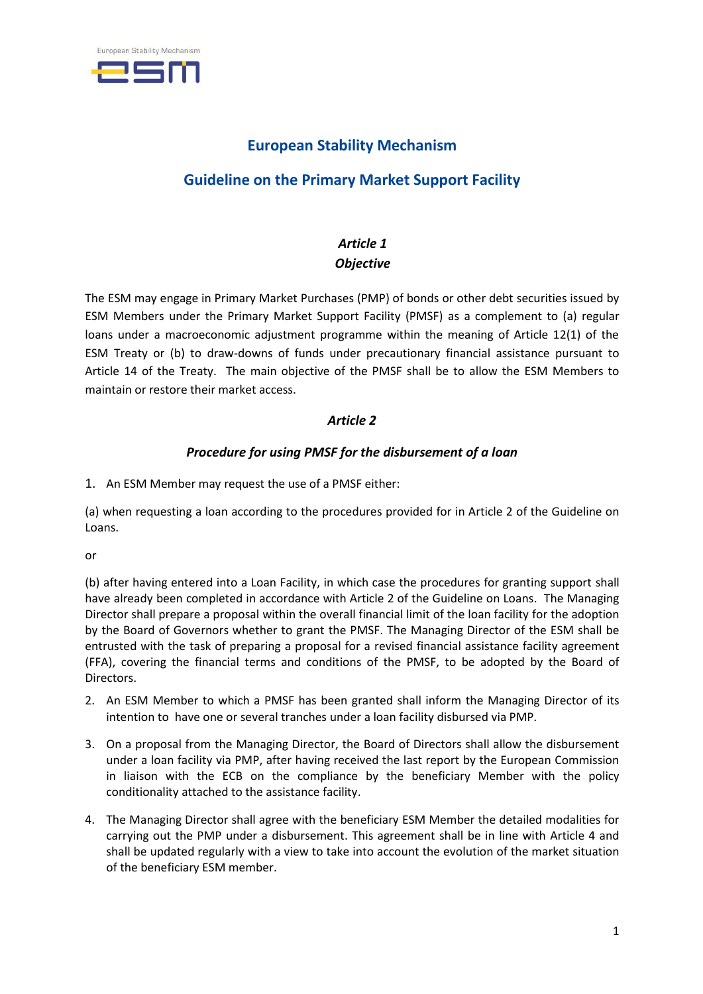

# **European Stability Mechanism**

# **Guideline on the Primary Market Support Facility**

## *Article 1 Objective*

The ESM may engage in Primary Market Purchases (PMP) of bonds or other debt securities issued by ESM Members under the Primary Market Support Facility (PMSF) as a complement to (a) regular loans under a macroeconomic adjustment programme within the meaning of Article 12(1) of the ESM Treaty or (b) to draw-downs of funds under precautionary financial assistance pursuant to Article 14 of the Treaty. The main objective of the PMSF shall be to allow the ESM Members to maintain or restore their market access.

## *Article 2*

## *Procedure for using PMSF for the disbursement of a loan*

1. An ESM Member may request the use of a PMSF either:

(a) when requesting a loan according to the procedures provided for in Article 2 of the Guideline on Loans.

or

(b) after having entered into a Loan Facility, in which case the procedures for granting support shall have already been completed in accordance with Article 2 of the Guideline on Loans. The Managing Director shall prepare a proposal within the overall financial limit of the loan facility for the adoption by the Board of Governors whether to grant the PMSF. The Managing Director of the ESM shall be entrusted with the task of preparing a proposal for a revised financial assistance facility agreement (FFA), covering the financial terms and conditions of the PMSF, to be adopted by the Board of Directors.

- 2. An ESM Member to which a PMSF has been granted shall inform the Managing Director of its intention to have one or several tranches under a loan facility disbursed via PMP.
- 3. On a proposal from the Managing Director, the Board of Directors shall allow the disbursement under a loan facility via PMP, after having received the last report by the European Commission in liaison with the ECB on the compliance by the beneficiary Member with the policy conditionality attached to the assistance facility.
- 4. The Managing Director shall agree with the beneficiary ESM Member the detailed modalities for carrying out the PMP under a disbursement. This agreement shall be in line with Article 4 and shall be updated regularly with a view to take into account the evolution of the market situation of the beneficiary ESM member.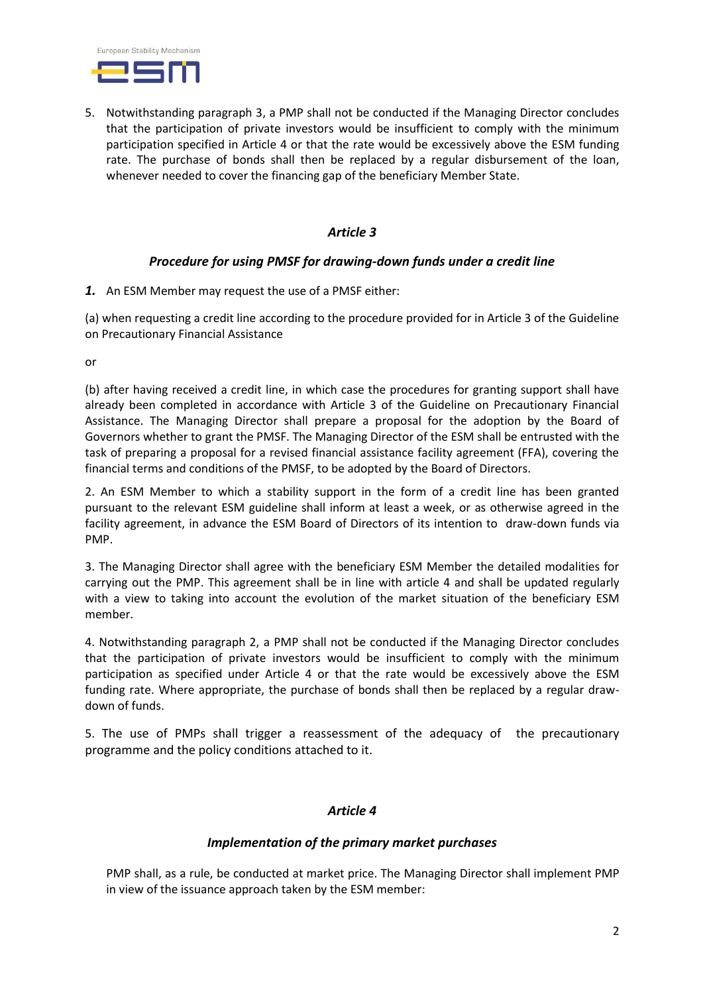

5. Notwithstanding paragraph 3, a PMP shall not be conducted if the Managing Director concludes that the participation of private investors would be insufficient to comply with the minimum participation specified in Article 4 or that the rate would be excessively above the ESM funding rate. The purchase of bonds shall then be replaced by a regular disbursement of the loan, whenever needed to cover the financing gap of the beneficiary Member State.

#### *Article 3*

#### *Procedure for using PMSF for drawing-down funds under a credit line*

*1.* An ESM Member may request the use of a PMSF either:

(a) when requesting a credit line according to the procedure provided for in Article 3 of the Guideline on Precautionary Financial Assistance

or

(b) after having received a credit line, in which case the procedures for granting support shall have already been completed in accordance with Article 3 of the Guideline on Precautionary Financial Assistance. The Managing Director shall prepare a proposal for the adoption by the Board of Governors whether to grant the PMSF. The Managing Director of the ESM shall be entrusted with the task of preparing a proposal for a revised financial assistance facility agreement (FFA), covering the financial terms and conditions of the PMSF, to be adopted by the Board of Directors.

2. An ESM Member to which a stability support in the form of a credit line has been granted pursuant to the relevant ESM guideline shall inform at least a week, or as otherwise agreed in the facility agreement, in advance the ESM Board of Directors of its intention to draw-down funds via PMP.

3. The Managing Director shall agree with the beneficiary ESM Member the detailed modalities for carrying out the PMP. This agreement shall be in line with article 4 and shall be updated regularly with a view to taking into account the evolution of the market situation of the beneficiary ESM member.

4. Notwithstanding paragraph 2, a PMP shall not be conducted if the Managing Director concludes that the participation of private investors would be insufficient to comply with the minimum participation as specified under Article 4 or that the rate would be excessively above the ESM funding rate. Where appropriate, the purchase of bonds shall then be replaced by a regular drawdown of funds.

5. The use of PMPs shall trigger a reassessment of the adequacy of the precautionary programme and the policy conditions attached to it.

#### *Article 4*

#### *Implementation of the primary market purchases*

PMP shall, as a rule, be conducted at market price. The Managing Director shall implement PMP in view of the issuance approach taken by the ESM member: